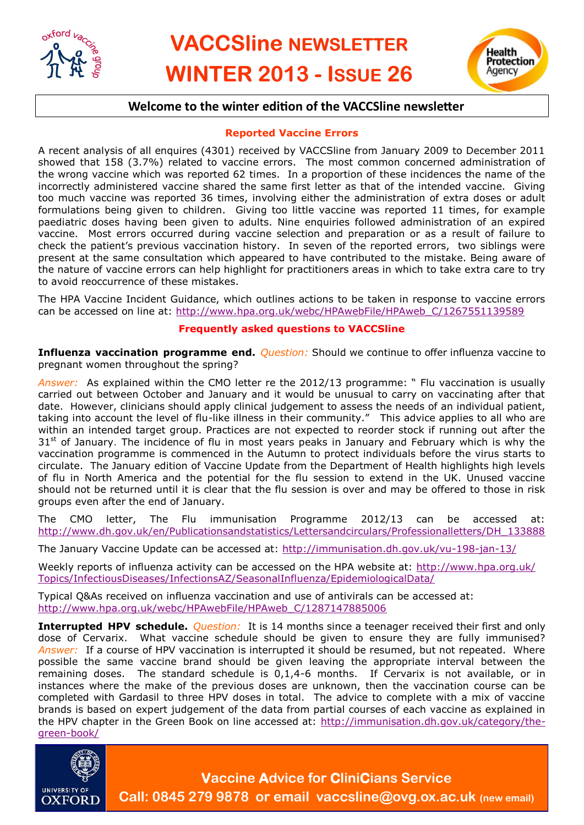



# **Welcome to the winter edition of the VACCSline newsletter**

### **Reported Vaccine Errors**

A recent analysis of all enquires (4301) received by VACCSline from January 2009 to December 2011 showed that 158 (3.7%) related to vaccine errors. The most common concerned administration of the wrong vaccine which was reported 62 times. In a proportion of these incidences the name of the incorrectly administered vaccine shared the same first letter as that of the intended vaccine. Giving too much vaccine was reported 36 times, involving either the administration of extra doses or adult formulations being given to children. Giving too little vaccine was reported 11 times, for example paediatric doses having been given to adults. Nine enquiries followed administration of an expired vaccine. Most errors occurred during vaccine selection and preparation or as a result of failure to check the patient's previous vaccination history. In seven of the reported errors, two siblings were present at the same consultation which appeared to have contributed to the mistake. Being aware of the nature of vaccine errors can help highlight for practitioners areas in which to take extra care to try to avoid reoccurrence of these mistakes.

The HPA Vaccine Incident Guidance, which outlines actions to be taken in response to vaccine errors can be accessed on line at: http://www.hpa.org.uk/webc/HPAwebFile/HPAweb C/1267551139589

#### **Frequently asked questions to VACCSline**

**Influenza vaccination programme end.** *Question:* Should we continue to offer influenza vaccine to pregnant women throughout the spring?

*Answer:* As explained within the CMO letter re the 2012/13 programme: " Flu vaccination is usually carried out between October and January and it would be unusual to carry on vaccinating after that date. However, clinicians should apply clinical judgement to assess the needs of an individual patient, taking into account the level of flu-like illness in their community." This advice applies to all who are within an intended target group. Practices are not expected to reorder stock if running out after the  $31<sup>st</sup>$  of January. The incidence of flu in most years peaks in January and February which is why the vaccination programme is commenced in the Autumn to protect individuals before the virus starts to circulate. The January edition of Vaccine Update from the Department of Health highlights high levels of flu in North America and the potential for the flu session to extend in the UK. Unused vaccine should not be returned until it is clear that the flu session is over and may be offered to those in risk groups even after the end of January.

The CMO letter, The Flu immunisation Programme 2012/13 can be accessed at: [http://www.dh.gov.uk/en/Publicationsandstatistics/Lettersandcirculars/Professionalletters/DH\\_133888](http://www.dh.gov.uk/en/Publicationsandstatistics/Lettersandcirculars/Professionalletters/DH_133888)

The January Vaccine Update can be accessed at: <http://immunisation.dh.gov.uk/vu-198-jan-13/>

Weekly reports of influenza activity can be accessed on the HPA website at: [http://www.hpa.org.uk/](http://www.hpa.org.uk/Topics/InfectiousDiseases/InfectionsAZ/SeasonalInfluenza/EpidemiologicalData/) [Topics/InfectiousDiseases/InfectionsAZ/SeasonalInfluenza/EpidemiologicalData/](http://www.hpa.org.uk/Topics/InfectiousDiseases/InfectionsAZ/SeasonalInfluenza/EpidemiologicalData/)

Typical Q&As received on influenza vaccination and use of antivirals can be accessed at: [http://www.hpa.org.uk/webc/HPAwebFile/HPAweb\\_C/1287147885006](http://www.hpa.org.uk/webc/HPAwebFile/HPAweb_C/1287147885006)

**Interrupted HPV schedule.** *Question:* It is 14 months since a teenager received their first and only dose of Cervarix. What vaccine schedule should be given to ensure they are fully immunised? *Answer:* If a course of HPV vaccination is interrupted it should be resumed, but not repeated. Where possible the same vaccine brand should be given leaving the appropriate interval between the remaining doses. The standard schedule is 0,1,4-6 months. If Cervarix is not available, or in instances where the make of the previous doses are unknown, then the vaccination course can be completed with Gardasil to three HPV doses in total. The advice to complete with a mix of vaccine brands is based on expert judgement of the data from partial courses of each vaccine as explained in the HPV chapter in the Green Book on line accessed at: [http://immunisation.dh.gov.uk/category/the](http://immunisation.dh.gov.uk/category/the-green-book/)[green-book/](http://immunisation.dh.gov.uk/category/the-green-book/)